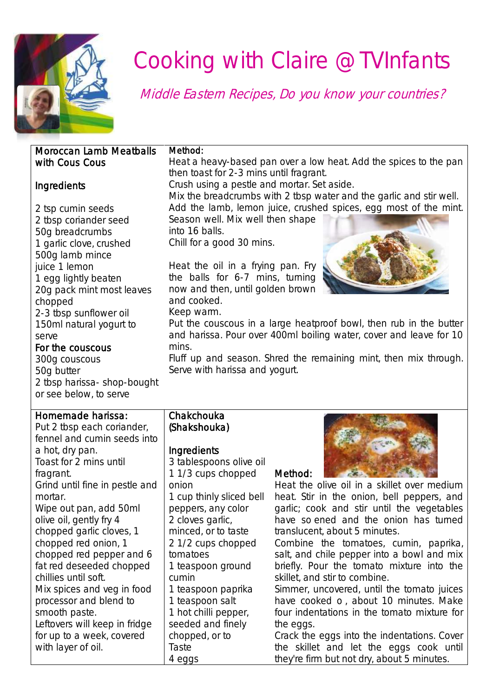

# Cooking with Claire @TVInfants

Middle Eastern Recipes, Do you know your countries?

#### Moroccan Lamb Meatballs with Cous Cous

#### Method:

Heat a heavy-based pan over a low heat. Add the spices to the pan then toast for 2-3 mins until fragrant.

Crush using a pestle and mortar. Set aside.

Mix the breadcrumbs with 2 tbsp water and the garlic and stir well. Add the lamb, lemon juice, crushed spices, egg most of the mint.

Season well. Mix well then shape into 16 balls. Chill for a good 30 mins.

Heat the oil in a frying pan. Fry the balls for 6-7 mins, turning now and then, until golden brown and cooked.

Keep warm.

Put the couscous in a large heatproof bowl, then rub in the butter and harissa. Pour over 400ml boiling water, cover and leave for 10 mins.

Fluff up and season. Shred the remaining mint, then mix through. Serve with harissa and yogurt.

### **Ingredients**

2 tsp cumin seeds 2 tbsp coriander seed 50g breadcrumbs 1 garlic clove, crushed 500g lamb mince juice 1 lemon 1 egg lightly beaten 20g pack mint most leaves chopped 2-3 tbsp sunflower oil 150ml natural yogurt to serve

#### For the couscous

300g couscous 50g butter 2 tbsp harissa- shop-bought or see below, to serve

#### Homemade harissa:

Put 2 tbsp each coriander, fennel and cumin seeds into a hot, dry pan. Toast for 2 mins until fragrant. Grind until fine in pestle and mortar. Wipe out pan, add 50ml olive oil, gently fry 4 chopped garlic cloves, 1 chopped red onion, 1 chopped red pepper and 6 fat red deseeded chopped chillies until soft. Mix spices and veg in food processor and blend to smooth paste. Leftovers will keep in fridge for up to a week, covered with layer of oil.

#### Chakchouka (Shakshouka)

#### **Ingredients**

3 tablespoons olive oil 1 1/3 cups chopped onion 1 cup thinly sliced bell peppers, any color 2 cloves garlic, minced, or to taste 2 1/2 cups chopped tomatoes 1 teaspoon ground cumin 1 teaspoon paprika 1 teaspoon salt 1 hot chilli pepper, seeded and finely chopped, or to Taste 4 eggs

#### Method:



Heat the olive oil in a skillet over medium heat. Stir in the onion, bell peppers, and garlic; cook and stir until the vegetables have so ened and the onion has turned translucent, about 5 minutes.

Combine the tomatoes, cumin, paprika, salt, and chile pepper into a bowl and mix briefly. Pour the tomato mixture into the skillet, and stir to combine.

Simmer, uncovered, until the tomato juices have cooked o , about 10 minutes. Make four indentations in the tomato mixture for the eggs.

Crack the eggs into the indentations. Cover the skillet and let the eggs cook until they're firm but not dry, about 5 minutes.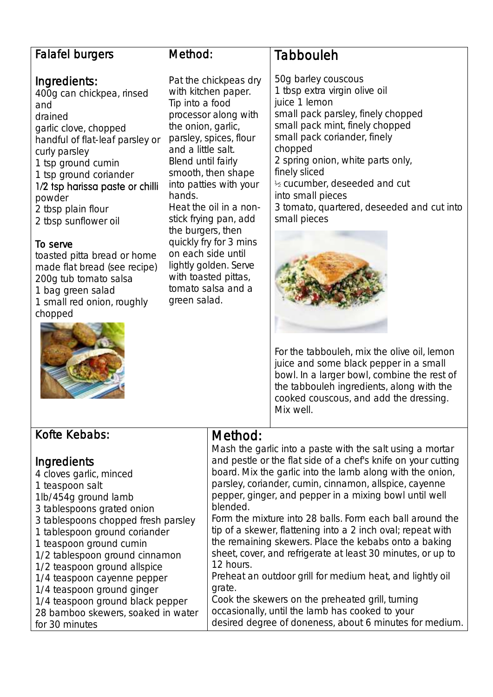#### Falafel burgers

#### Ingredients:

400g can chickpea, rinsed and drained garlic clove, chopped handful of flat-leaf parsley or curly parsley 1 tsp ground cumin 1 tsp ground coriander 1/2 tsp harissa paste or chilli powder 2 tbsp plain flour 2 tbsp sunflower oil

#### To serve

toasted pitta bread or home made flat bread (see recipe) 200g tub tomato salsa 1 bag green salad 1 small red onion, roughly chopped



#### Method:

Pat the chickpeas dry with kitchen paper. Tip into a food processor along with the onion, garlic, parsley, spices, flour and a little salt. Blend until fairly smooth, then shape into patties with your hands. Heat the oil in a nonstick frying pan, add the burgers, then quickly fry for 3 mins on each side until lightly golden. Serve with toasted pittas, tomato salsa and a green salad.

# Tabbouleh

50g barley couscous 1 tbsp extra virgin olive oil juice 1 lemon small pack parsley, finely chopped small pack mint, finely chopped small pack coriander, finely chopped 2 spring onion, white parts only, finely sliced ½ cucumber, deseeded and cut into small pieces 3 tomato, quartered, deseeded and cut into small pieces



For the tabbouleh, mix the olive oil, lemon juice and some black pepper in a small bowl. In a larger bowl, combine the rest of the tabbouleh ingredients, along with the cooked couscous, and add the dressing. Mix well.

| Kofte Kebabs:                       | Method:                                                       |
|-------------------------------------|---------------------------------------------------------------|
|                                     | Mash the garlic into a paste with the salt using a mortar     |
| Ingredients                         | and pestle or the flat side of a chef's knife on your cutting |
| 4 cloves garlic, minced             | board. Mix the garlic into the lamb along with the onion,     |
| 1 teaspoon salt                     | parsley, coriander, cumin, cinnamon, allspice, cayenne        |
| 1lb/454g ground lamb                | pepper, ginger, and pepper in a mixing bowl until well        |
| 3 tablespoons grated onion          | blended.                                                      |
| 3 tablespoons chopped fresh parsley | Form the mixture into 28 balls. Form each ball around the     |
| 1 tablespoon ground coriander       | tip of a skewer, flattening into a 2 inch oval; repeat with   |
| 1 teaspoon ground cumin             | the remaining skewers. Place the kebabs onto a baking         |
| 1/2 tablespoon ground cinnamon      | sheet, cover, and refrigerate at least 30 minutes, or up to   |
| 1/2 teaspoon ground allspice        | 12 hours.                                                     |
| 1/4 teaspoon cayenne pepper         | Preheat an outdoor grill for medium heat, and lightly oil     |
| 1/4 teaspoon ground ginger          | grate.                                                        |
| 1/4 teaspoon ground black pepper    | Cook the skewers on the preheated grill, turning              |
| 28 bamboo skewers, soaked in water  | occasionally, until the lamb has cooked to your               |
| for 30 minutes                      | desired degree of doneness, about 6 minutes for medium.       |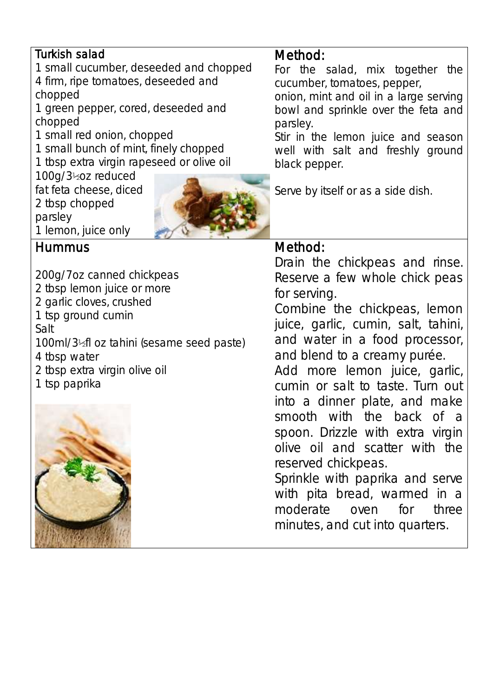## Turkish salad

1 small cucumber, deseeded and chopped 4 firm, ripe tomatoes, deseeded and chopped

1 green pepper, cored, deseeded and chopped

1 small red onion, chopped

1 small bunch of mint, finely chopped

1 tbsp extra virgin rapeseed or olive oil

100g/3½oz reduced

fat feta cheese, diced 2 tbsp chopped

1 lemon, juice only



# Hummus

parsley

200g/7oz canned chickpeas 2 tbsp lemon juice or more 2 garlic cloves, crushed 1 tsp ground cumin Salt 100ml/3½fl oz tahini (sesame seed paste) 4 tbsp water 2 tbsp extra virgin olive oil 1 tsp paprika



# Method:

For the salad, mix together the cucumber, tomatoes, pepper,

onion, mint and oil in a large serving bowl and sprinkle over the feta and parsley.

Stir in the lemon juice and season well with salt and freshly ground black pepper.

Serve by itself or as a side dish.

# Method:

Drain the chickpeas and rinse. Reserve a few whole chick peas for serving.

Combine the chickpeas, lemon juice, garlic, cumin, salt, tahini, and water in a food processor, and blend to a creamy purée.

Add more lemon juice, garlic, cumin or salt to taste. Turn out into a dinner plate, and make smooth with the back of a spoon. Drizzle with extra virgin olive oil and scatter with the reserved chickpeas.

Sprinkle with paprika and serve with pita bread, warmed in a moderate oven for three minutes, and cut into quarters.